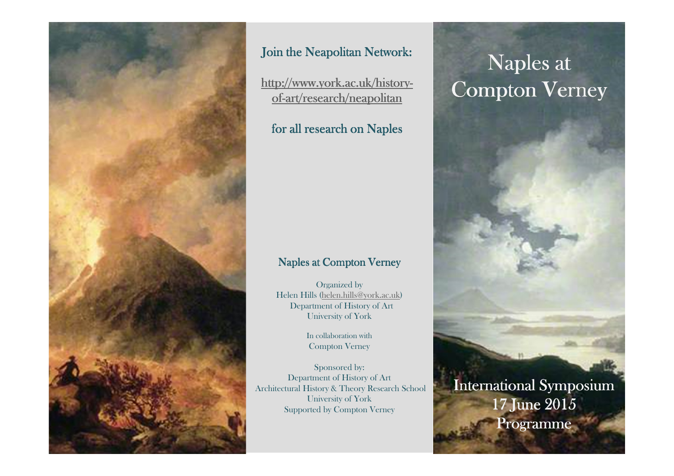

## Join the Neapolitan Network:

<u>http://www.york.ac.uk/history-</u> <u>of-art/research/neapolitan</u>

## for all research on <mark>N</mark>aples

## Naples at Compton Verney

Organized by Helen Hills (helen.hills@york.ac.uk)Department of History of ArtUniversity of York

> In collaboration with Compton Verney

Sponsored by: Department of History of ArtArchitectural History & Theory Research SchoolUniversity of YorkSupported by Compton Verney

## Naples at **Compton Verney**